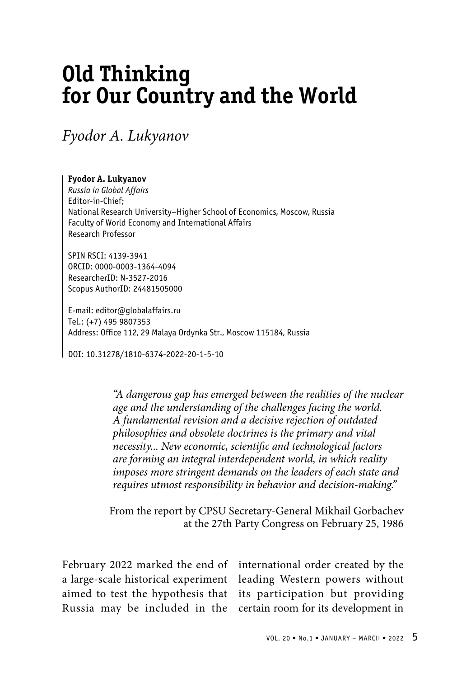## **Old Thinking for Our Country and the World**

*Fyodor A. Lukyanov* 

## **Fyodor A. Lukyanov**

*Russia in Global Affairs* Editor-in-Chief; National Research University–Higher School of Economics, Moscow, Russia Faculty of World Economy and International Affairs Research Professor

SPIN RSCI: 4139-3941 ORCID: 0000-0003-1364-4094 ResearcherID: N-3527-2016 Scopus AuthorID: 24481505000

E-mail: editor@globalaffairs.ru Tel.: (+7) 495 9807353 Address: Office 112, 29 Malaya Ordynka Str., Moscow 115184, Russia

DOI: 10.31278/1810-6374-2022-20-1-5-10

*"A dangerous gap has emerged between the realities of the nuclear age and the understanding of the challenges facing the world. A fundamental revision and a decisive rejection of outdated philosophies and obsolete doctrines is the primary and vital necessity... New economic, scientific and technological factors are forming an integral interdependent world, in which reality imposes more stringent demands on the leaders of each state and requires utmost responsibility in behavior and decision-making."*

From the report by CPSU Secretary-General Mikhail Gorbachev at the 27th Party Congress on February 25, 1986

February 2022 marked the end of aimed to test the hypothesis that Russia may be included in the

a large-scale historical experiment leading Western powers without international order created by the its participation but providing certain room for its development in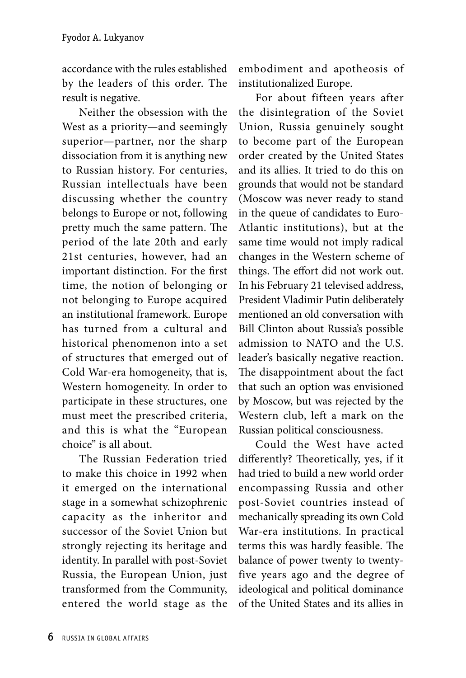accordance with the rules established by the leaders of this order. The result is negative.

Neither the obsession with the West as a priority—and seemingly superior—partner, nor the sharp dissociation from it is anything new to Russian history. For centuries, Russian intellectuals have been discussing whether the country belongs to Europe or not, following pretty much the same pattern. The period of the late 20th and early 21st centuries, however, had an important distinction. For the first time, the notion of belonging or not belonging to Europe acquired an institutional framework. Europe has turned from a cultural and historical phenomenon into a set of structures that emerged out of Cold War-era homogeneity, that is, Western homogeneity. In order to participate in these structures, one must meet the prescribed criteria, and this is what the "European choice" is all about.

The Russian Federation tried to make this choice in 1992 when it emerged on the international stage in a somewhat schizophrenic capacity as the inheritor and successor of the Soviet Union but strongly rejecting its heritage and identity. In parallel with post-Soviet Russia, the European Union, just transformed from the Community, entered the world stage as the

embodiment and apotheosis of institutionalized Europe.

For about fifteen years after the disintegration of the Soviet Union, Russia genuinely sought to become part of the European order created by the United States and its allies. It tried to do this on grounds that would not be standard (Moscow was never ready to stand in the queue of candidates to Euro-Atlantic institutions), but at the same time would not imply radical changes in the Western scheme of things. The effort did not work out. In his February 21 televised address, President Vladimir Putin deliberately mentioned an old conversation with Bill Clinton about Russia's possible admission to NATO and the U.S. leader's basically negative reaction. The disappointment about the fact that such an option was envisioned by Moscow, but was rejected by the Western club, left a mark on the Russian political consciousness.

Could the West have acted differently? Theoretically, yes, if it had tried to build a new world order encompassing Russia and other post-Soviet countries instead of mechanically spreading its own Cold War-era institutions. In practical terms this was hardly feasible. The balance of power twenty to twentyfive years ago and the degree of ideological and political dominance of the United States and its allies in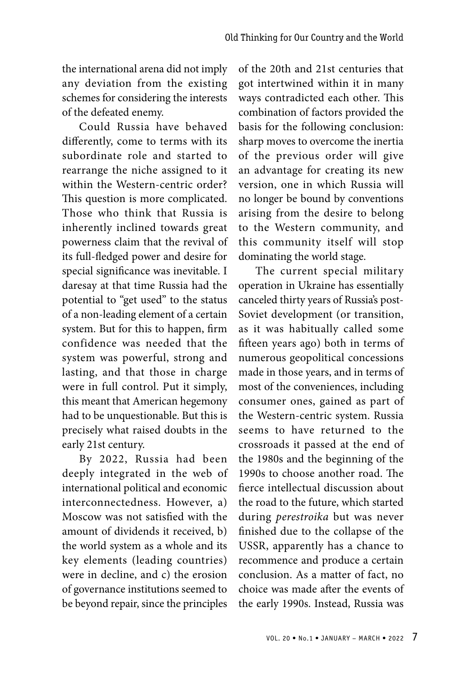the international arena did not imply any deviation from the existing schemes for considering the interests of the defeated enemy.

Could Russia have behaved differently, come to terms with its subordinate role and started to rearrange the niche assigned to it within the Western-centric order? This question is more complicated. Those who think that Russia is inherently inclined towards great powerness claim that the revival of its full-fledged power and desire for special significance was inevitable. I daresay at that time Russia had the potential to "get used" to the status of a non-leading element of a certain system. But for this to happen, firm confidence was needed that the system was powerful, strong and lasting, and that those in charge were in full control. Put it simply, this meant that American hegemony had to be unquestionable. But this is precisely what raised doubts in the early 21st century.

By 2022, Russia had been deeply integrated in the web of international political and economic interconnectedness. However, a) Moscow was not satisfied with the amount of dividends it received, b) the world system as a whole and its key elements (leading countries) were in decline, and c) the erosion of governance institutions seemed to be beyond repair, since the principles of the 20th and 21st centuries that got intertwined within it in many ways contradicted each other. This combination of factors provided the basis for the following conclusion: sharp moves to overcome the inertia of the previous order will give an advantage for creating its new version, one in which Russia will no longer be bound by conventions arising from the desire to belong to the Western community, and this community itself will stop dominating the world stage.

The current special military operation in Ukraine has essentially canceled thirty years of Russia's post-Soviet development (or transition, as it was habitually called some fifteen years ago) both in terms of numerous geopolitical concessions made in those years, and in terms of most of the conveniences, including consumer ones, gained as part of the Western-centric system. Russia seems to have returned to the crossroads it passed at the end of the 1980s and the beginning of the 1990s to choose another road. The fierce intellectual discussion about the road to the future, which started during *perestroika* but was never finished due to the collapse of the USSR, apparently has a chance to recommence and produce a certain conclusion. As a matter of fact, no choice was made after the events of the early 1990s. Instead, Russia was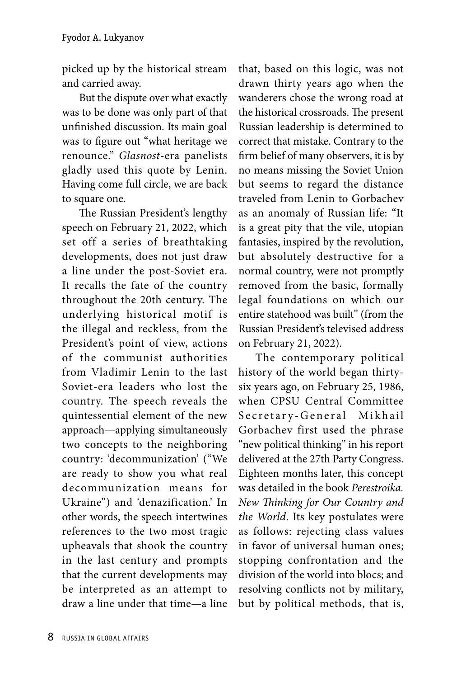picked up by the historical stream and carried away.

But the dispute over what exactly was to be done was only part of that unfinished discussion. Its main goal was to figure out "what heritage we renounce." *Glasnost*-era panelists gladly used this quote by Lenin. Having come full circle, we are back to square one.

The Russian President's lengthy speech on February 21, 2022, which set off a series of breathtaking developments, does not just draw a line under the post-Soviet era. It recalls the fate of the country throughout the 20th century. The underlying historical motif is the illegal and reckless, from the President's point of view, actions of the communist authorities from Vladimir Lenin to the last Soviet-era leaders who lost the country. The speech reveals the quintessential element of the new approach—applying simultaneously two concepts to the neighboring country: 'decommunization' ("We are ready to show you what real decommunization means for Ukraine") and 'denazification.' In other words, the speech intertwines references to the two most tragic upheavals that shook the country in the last century and prompts that the current developments may be interpreted as an attempt to draw a line under that time—a line

that, based on this logic, was not drawn thirty years ago when the wanderers chose the wrong road at the historical crossroads. The present Russian leadership is determined to correct that mistake. Contrary to the firm belief of many observers, it is by no means missing the Soviet Union but seems to regard the distance traveled from Lenin to Gorbachev as an anomaly of Russian life: "It is a great pity that the vile, utopian fantasies, inspired by the revolution, but absolutely destructive for a normal country, were not promptly removed from the basic, formally legal foundations on which our entire statehood was built" (from the Russian President's televised address on February 21, 2022).

The contemporary political history of the world began thirtysix years ago, on February 25, 1986, when CPSU Central Committee Secretary-General Mikhail Gorbachev first used the phrase "new political thinking" in his report delivered at the 27th Party Congress. Eighteen months later, this concept was detailed in the book *Perestroika. New Thinking for Our Country and the World*. Its key postulates were as follows: rejecting class values in favor of universal human ones; stopping confrontation and the division of the world into blocs; and resolving conflicts not by military, but by political methods, that is,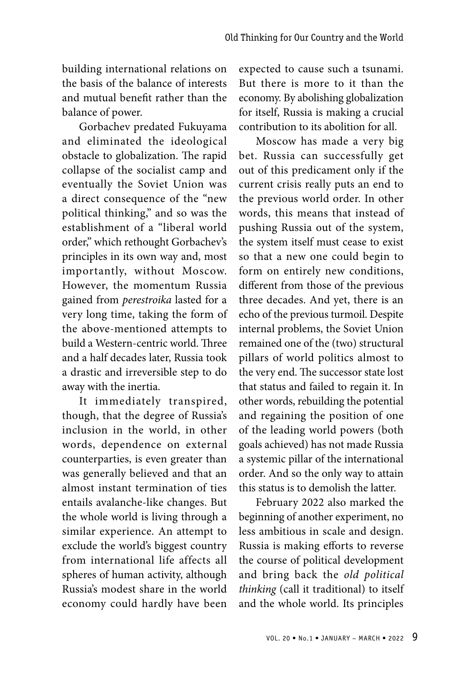building international relations on the basis of the balance of interests and mutual benefit rather than the balance of power.

Gorbachev predated Fukuyama and eliminated the ideological obstacle to globalization. The rapid collapse of the socialist camp and eventually the Soviet Union was a direct consequence of the "new political thinking," and so was the establishment of a "liberal world order," which rethought Gorbachev's principles in its own way and, most importantly, without Moscow. However, the momentum Russia gained from *perestroika* lasted for a very long time, taking the form of the above-mentioned attempts to build a Western-centric world. Three and a half decades later, Russia took a drastic and irreversible step to do away with the inertia.

It immediately transpired, though, that the degree of Russia's inclusion in the world, in other words, dependence on external counterparties, is even greater than was generally believed and that an almost instant termination of ties entails avalanche-like changes. But the whole world is living through a similar experience. An attempt to exclude the world's biggest country from international life affects all spheres of human activity, although Russia's modest share in the world economy could hardly have been

expected to cause such a tsunami. But there is more to it than the economy. By abolishing globalization for itself, Russia is making a crucial contribution to its abolition for all.

Moscow has made a very big bet. Russia can successfully get out of this predicament only if the current crisis really puts an end to the previous world order. In other words, this means that instead of pushing Russia out of the system, the system itself must cease to exist so that a new one could begin to form on entirely new conditions, different from those of the previous three decades. And yet, there is an echo of the previous turmoil. Despite internal problems, the Soviet Union remained one of the (two) structural pillars of world politics almost to the very end. The successor state lost that status and failed to regain it. In other words, rebuilding the potential and regaining the position of one of the leading world powers (both goals achieved) has not made Russia a systemic pillar of the international order. And so the only way to attain this status is to demolish the latter.

February 2022 also marked the beginning of another experiment, no less ambitious in scale and design. Russia is making efforts to reverse the course of political development and bring back the *old political thinking* (call it traditional) to itself and the whole world. Its principles